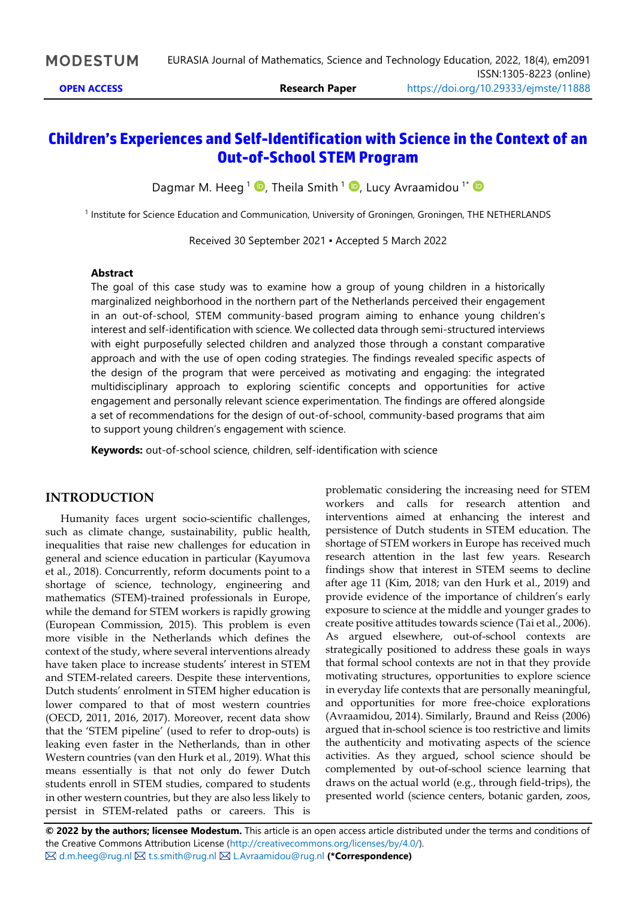# **Children's Experiences and Self-Identification with Science in the Context of an Out-of-School STEM Program**

Dagmar M. Heeg <sup>1</sup> D, Theila Smith <sup>1</sup> D, Lucy Avraamidou <sup>1\*</sup>

<sup>1</sup> Institute for Science Education and Communication, University of Groningen, Groningen, THE NETHERLANDS

Received 30 September 2021 ▪ Accepted 5 March 2022

#### **Abstract**

The goal of this case study was to examine how a group of young children in a historically marginalized neighborhood in the northern part of the Netherlands perceived their engagement in an out-of-school, STEM community-based program aiming to enhance young children's interest and self-identification with science. We collected data through semi-structured interviews with eight purposefully selected children and analyzed those through a constant comparative approach and with the use of open coding strategies. The findings revealed specific aspects of the design of the program that were perceived as motivating and engaging: the integrated multidisciplinary approach to exploring scientific concepts and opportunities for active engagement and personally relevant science experimentation. The findings are offered alongside a set of recommendations for the design of out-of-school, community-based programs that aim to support young children's engagement with science.

**Keywords:** out-of-school science, children, self-identification with science

## **INTRODUCTION**

Humanity faces urgent socio-scientific challenges, such as climate change, sustainability, public health, inequalities that raise new challenges for education in general and science education in particular (Kayumova et al., 2018). Concurrently, reform documents point to a shortage of science, technology, engineering and mathematics (STEM)-trained professionals in Europe, while the demand for STEM workers is rapidly growing (European Commission, 2015). This problem is even more visible in the Netherlands which defines the context of the study, where several interventions already have taken place to increase students' interest in STEM and STEM-related careers. Despite these interventions, Dutch students' enrolment in STEM higher education is lower compared to that of most western countries (OECD, 2011, 2016, 2017). Moreover, recent data show that the 'STEM pipeline' (used to refer to drop-outs) is leaking even faster in the Netherlands, than in other Western countries (van den Hurk et al., 2019). What this means essentially is that not only do fewer Dutch students enroll in STEM studies, compared to students in other western countries, but they are also less likely to persist in STEM-related paths or careers. This is

problematic considering the increasing need for STEM workers and calls for research attention and interventions aimed at enhancing the interest and persistence of Dutch students in STEM education. The shortage of STEM workers in Europe has received much research attention in the last few years. Research findings show that interest in STEM seems to decline after age 11 (Kim, 2018; van den Hurk et al., 2019) and provide evidence of the importance of children's early exposure to science at the middle and younger grades to create positive attitudes towards science (Tai et al., 2006). As argued elsewhere, out-of-school contexts are strategically positioned to address these goals in ways that formal school contexts are not in that they provide motivating structures, opportunities to explore science in everyday life contexts that are personally meaningful, and opportunities for more free-choice explorations (Avraamidou, 2014). Similarly, Braund and Reiss (2006) argued that in-school science is too restrictive and limits the authenticity and motivating aspects of the science activities. As they argued, school science should be complemented by out-of-school science learning that draws on the actual world (e.g., through field-trips), the presented world (science centers, botanic garden, zoos,

**© 2022 by the authors; licensee Modestum.** This article is an open access article distributed under the terms and conditions of the Creative Commons Attribution License [\(http://creativecommons.org/licenses/by/4.0/\)](http://creativecommons.org/licenses/by/4.0/). [d.m.heeg@rug.nl](mailto:d.m.heeg@rug.nl) [t.s.smith@rug.nl](mailto:t.s.smith@rug.nl) [L.Avraamidou@rug.nl](mailto:L.Avraamidou@rug.nl) **(\*Correspondence)**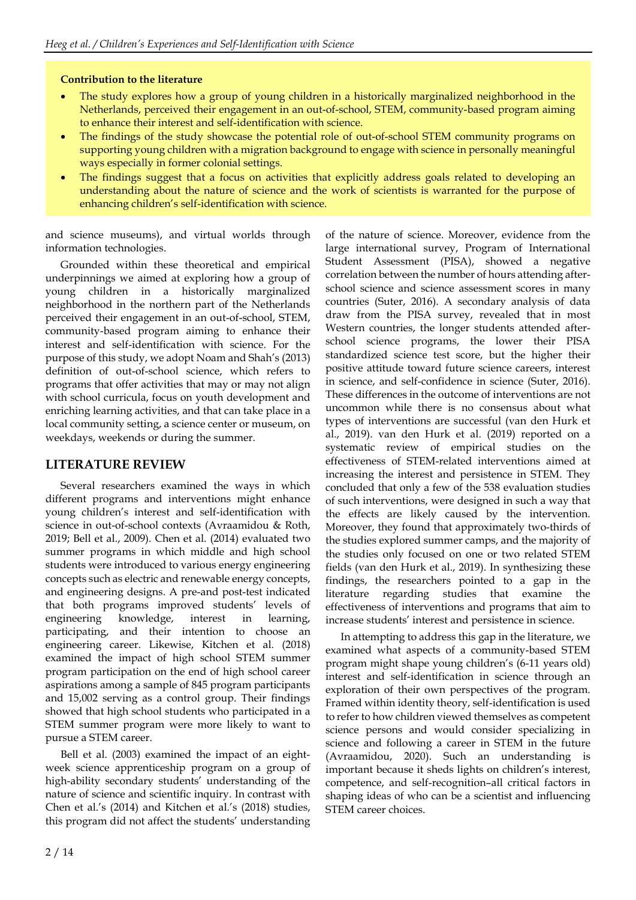#### **Contribution to the literature**

- The study explores how a group of young children in a historically marginalized neighborhood in the Netherlands, perceived their engagement in an out-of-school, STEM, community-based program aiming to enhance their interest and self-identification with science.
- The findings of the study showcase the potential role of out-of-school STEM community programs on supporting young children with a migration background to engage with science in personally meaningful ways especially in former colonial settings.
- The findings suggest that a focus on activities that explicitly address goals related to developing an understanding about the nature of science and the work of scientists is warranted for the purpose of enhancing children's self-identification with science.

and science museums), and virtual worlds through information technologies.

Grounded within these theoretical and empirical underpinnings we aimed at exploring how a group of young children in a historically marginalized neighborhood in the northern part of the Netherlands perceived their engagement in an out-of-school, STEM, community-based program aiming to enhance their interest and self-identification with science. For the purpose of this study, we adopt Noam and Shah's (2013) definition of out-of-school science, which refers to programs that offer activities that may or may not align with school curricula, focus on youth development and enriching learning activities, and that can take place in a local community setting, a science center or museum, on weekdays, weekends or during the summer.

## **LITERATURE REVIEW**

Several researchers examined the ways in which different programs and interventions might enhance young children's interest and self-identification with science in out-of-school contexts (Avraamidou & Roth, 2019; Bell et al., 2009). Chen et al. (2014) evaluated two summer programs in which middle and high school students were introduced to various energy engineering concepts such as electric and renewable energy concepts, and engineering designs. A pre-and post-test indicated that both programs improved students' levels of engineering knowledge, interest in learning, participating, and their intention to choose an engineering career. Likewise, Kitchen et al. (2018) examined the impact of high school STEM summer program participation on the end of high school career aspirations among a sample of 845 program participants and 15,002 serving as a control group. Their findings showed that high school students who participated in a STEM summer program were more likely to want to pursue a STEM career.

Bell et al. (2003) examined the impact of an eightweek science apprenticeship program on a group of high-ability secondary students' understanding of the nature of science and scientific inquiry. In contrast with Chen et al.'s (2014) and Kitchen et al.'s (2018) studies, this program did not affect the students' understanding of the nature of science. Moreover, evidence from the large international survey, Program of International Student Assessment (PISA), showed a negative correlation between the number of hours attending afterschool science and science assessment scores in many countries (Suter, 2016). A secondary analysis of data draw from the PISA survey, revealed that in most Western countries, the longer students attended afterschool science programs, the lower their PISA standardized science test score, but the higher their positive attitude toward future science careers, interest in science, and self-confidence in science (Suter, 2016). These differences in the outcome of interventions are not uncommon while there is no consensus about what types of interventions are successful (van den Hurk et al., 2019). van den Hurk et al. (2019) reported on a systematic review of empirical studies on the effectiveness of STEM-related interventions aimed at increasing the interest and persistence in STEM. They concluded that only a few of the 538 evaluation studies of such interventions, were designed in such a way that the effects are likely caused by the intervention. Moreover, they found that approximately two-thirds of the studies explored summer camps, and the majority of the studies only focused on one or two related STEM fields (van den Hurk et al., 2019). In synthesizing these findings, the researchers pointed to a gap in the literature regarding studies that examine the effectiveness of interventions and programs that aim to increase students' interest and persistence in science.

In attempting to address this gap in the literature, we examined what aspects of a community-based STEM program might shape young children's (6-11 years old) interest and self-identification in science through an exploration of their own perspectives of the program. Framed within identity theory, self-identification is used to refer to how children viewed themselves as competent science persons and would consider specializing in science and following a career in STEM in the future (Avraamidou, 2020). Such an understanding is important because it sheds lights on children's interest, competence, and self-recognition–all critical factors in shaping ideas of who can be a scientist and influencing STEM career choices.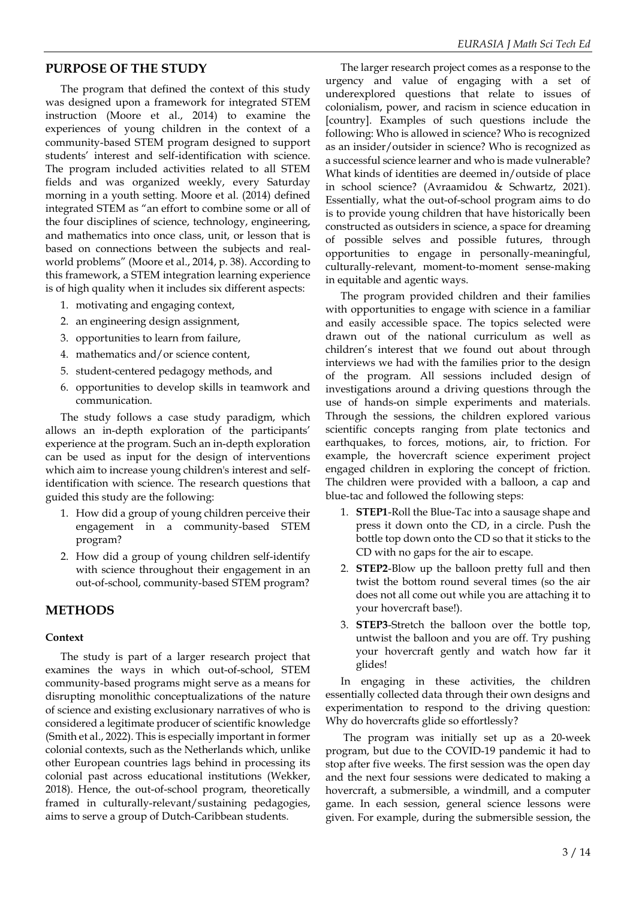#### **PURPOSE OF THE STUDY**

The program that defined the context of this study was designed upon a framework for integrated STEM instruction (Moore et al., 2014) to examine the experiences of young children in the context of a community-based STEM program designed to support students' interest and self-identification with science. The program included activities related to all STEM fields and was organized weekly, every Saturday morning in a youth setting. Moore et al. (2014) defined integrated STEM as "an effort to combine some or all of the four disciplines of science, technology, engineering, and mathematics into once class, unit, or lesson that is based on connections between the subjects and realworld problems" (Moore et al., 2014, p. 38). According to this framework, a STEM integration learning experience is of high quality when it includes six different aspects:

- 1. motivating and engaging context,
- 2. an engineering design assignment,
- 3. opportunities to learn from failure,
- 4. mathematics and/or science content,
- 5. student-centered pedagogy methods, and
- 6. opportunities to develop skills in teamwork and communication.

The study follows a case study paradigm, which allows an in-depth exploration of the participants' experience at the program. Such an in-depth exploration can be used as input for the design of interventions which aim to increase young children's interest and selfidentification with science. The research questions that guided this study are the following:

- 1. How did a group of young children perceive their engagement in a community-based STEM program?
- 2. How did a group of young children self-identify with science throughout their engagement in an out-of-school, community-based STEM program?

## **METHODS**

#### **Context**

The study is part of a larger research project that examines the ways in which out-of-school, STEM community-based programs might serve as a means for disrupting monolithic conceptualizations of the nature of science and existing exclusionary narratives of who is considered a legitimate producer of scientific knowledge (Smith et al., 2022). This is especially important in former colonial contexts, such as the Netherlands which, unlike other European countries lags behind in processing its colonial past across educational institutions (Wekker, 2018). Hence, the out-of-school program, theoretically framed in culturally-relevant/sustaining pedagogies, aims to serve a group of Dutch-Caribbean students.

The larger research project comes as a response to the urgency and value of engaging with a set of underexplored questions that relate to issues of colonialism, power, and racism in science education in [country]. Examples of such questions include the following: Who is allowed in science? Who is recognized as an insider/outsider in science? Who is recognized as a successful science learner and who is made vulnerable? What kinds of identities are deemed in/outside of place in school science? (Avraamidou & Schwartz, 2021). Essentially, what the out-of-school program aims to do is to provide young children that have historically been constructed as outsiders in science, a space for dreaming of possible selves and possible futures, through opportunities to engage in personally-meaningful, culturally-relevant, moment-to-moment sense-making in equitable and agentic ways.

The program provided children and their families with opportunities to engage with science in a familiar and easily accessible space. The topics selected were drawn out of the national curriculum as well as children's interest that we found out about through interviews we had with the families prior to the design of the program. All sessions included design of investigations around a driving questions through the use of hands-on simple experiments and materials. Through the sessions, the children explored various scientific concepts ranging from plate tectonics and earthquakes, to forces, motions, air, to friction. For example, the hovercraft science experiment project engaged children in exploring the concept of friction. The children were provided with a balloon, a cap and blue-tac and followed the following steps:

- 1. **STEP1**-Roll the Blue-Tac into a sausage shape and press it down onto the CD, in a circle. Push the bottle top down onto the CD so that it sticks to the CD with no gaps for the air to escape.
- 2. **STEP2**-Blow up the balloon pretty full and then twist the bottom round several times (so the air does not all come out while you are attaching it to your hovercraft base!).
- 3. **STEP3**-Stretch the balloon over the bottle top, untwist the balloon and you are off. Try pushing your hovercraft gently and watch how far it glides!

In engaging in these activities, the children essentially collected data through their own designs and experimentation to respond to the driving question: Why do hovercrafts glide so effortlessly?

The program was initially set up as a 20-week program, but due to the COVID-19 pandemic it had to stop after five weeks. The first session was the open day and the next four sessions were dedicated to making a hovercraft, a submersible, a windmill, and a computer game. In each session, general science lessons were given. For example, during the submersible session, the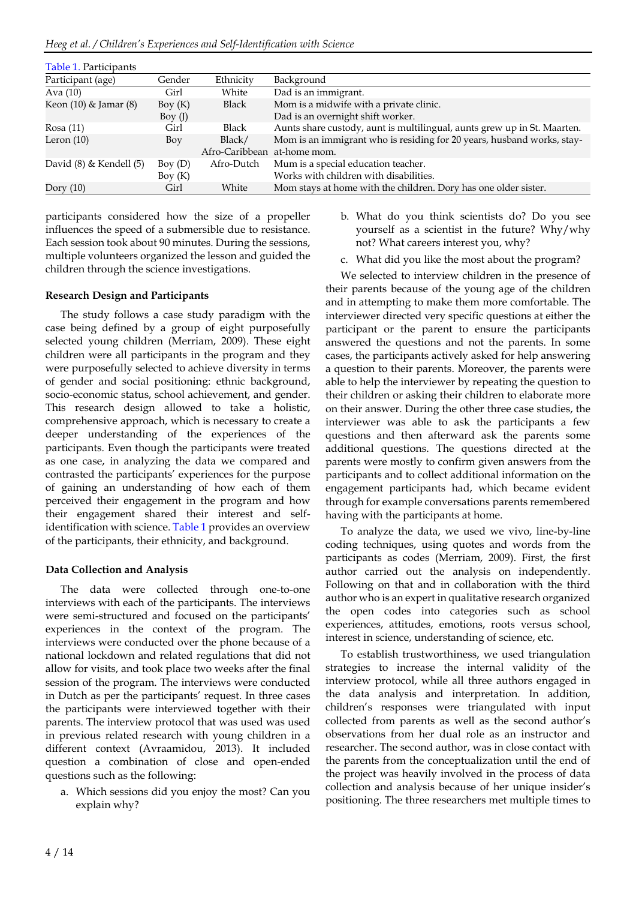*Heeg et al. / Children's Experiences and Self-Identification with Science*

| Table 1. Participants     |           |                             |                                                                          |  |
|---------------------------|-----------|-----------------------------|--------------------------------------------------------------------------|--|
| Participant (age)         | Gender    | Ethnicity                   | Background                                                               |  |
| Ava $(10)$                | Girl      | White                       | Dad is an immigrant.                                                     |  |
| Keon $(10)$ & Jamar $(8)$ | Boy $(K)$ | <b>Black</b>                | Mom is a midwife with a private clinic.                                  |  |
|                           | Boy $(J)$ |                             | Dad is an overnight shift worker.                                        |  |
| Rosa(11)                  | Girl      | <b>Black</b>                | Aunts share custody, aunt is multilingual, aunts grew up in St. Maarten. |  |
| Leron (10)                | Boy       | Black/                      | Mom is an immigrant who is residing for 20 years, husband works, stay-   |  |
|                           |           | Afro-Caribbean at-home mom. |                                                                          |  |
| David (8) & Kendell (5)   | Boy $(D)$ | Afro-Dutch                  | Mum is a special education teacher.                                      |  |
|                           | Boy $(K)$ |                             | Works with children with disabilities.                                   |  |
| Dory $(10)$               | Girl      | White                       | Mom stays at home with the children. Dory has one older sister.          |  |

participants considered how the size of a propeller influences the speed of a submersible due to resistance. Each session took about 90 minutes. During the sessions, multiple volunteers organized the lesson and guided the children through the science investigations.

#### **Research Design and Participants**

The study follows a case study paradigm with the case being defined by a group of eight purposefully selected young children (Merriam, 2009). These eight children were all participants in the program and they were purposefully selected to achieve diversity in terms of gender and social positioning: ethnic background, socio-economic status, school achievement, and gender. This research design allowed to take a holistic, comprehensive approach, which is necessary to create a deeper understanding of the experiences of the participants. Even though the participants were treated as one case, in analyzing the data we compared and contrasted the participants' experiences for the purpose of gaining an understanding of how each of them perceived their engagement in the program and how their engagement shared their interest and selfidentification with science. Table 1 provides an overview of the participants, their ethnicity, and background.

#### **Data Collection and Analysis**

The data were collected through one-to-one interviews with each of the participants. The interviews were semi-structured and focused on the participants' experiences in the context of the program. The interviews were conducted over the phone because of a national lockdown and related regulations that did not allow for visits, and took place two weeks after the final session of the program. The interviews were conducted in Dutch as per the participants' request. In three cases the participants were interviewed together with their parents. The interview protocol that was used was used in previous related research with young children in a different context (Avraamidou, 2013). It included question a combination of close and open-ended questions such as the following:

a. Which sessions did you enjoy the most? Can you explain why?

- b. What do you think scientists do? Do you see yourself as a scientist in the future? Why/why not? What careers interest you, why?
- c. What did you like the most about the program?

We selected to interview children in the presence of their parents because of the young age of the children and in attempting to make them more comfortable. The interviewer directed very specific questions at either the participant or the parent to ensure the participants answered the questions and not the parents. In some cases, the participants actively asked for help answering a question to their parents. Moreover, the parents were able to help the interviewer by repeating the question to their children or asking their children to elaborate more on their answer. During the other three case studies, the interviewer was able to ask the participants a few questions and then afterward ask the parents some additional questions. The questions directed at the parents were mostly to confirm given answers from the participants and to collect additional information on the engagement participants had, which became evident through for example conversations parents remembered having with the participants at home.

To analyze the data, we used we vivo, line-by-line coding techniques, using quotes and words from the participants as codes (Merriam, 2009). First, the first author carried out the analysis on independently. Following on that and in collaboration with the third author who is an expert in qualitative research organized the open codes into categories such as school experiences, attitudes, emotions, roots versus school, interest in science, understanding of science, etc.

To establish trustworthiness, we used triangulation strategies to increase the internal validity of the interview protocol, while all three authors engaged in the data analysis and interpretation. In addition, children's responses were triangulated with input collected from parents as well as the second author's observations from her dual role as an instructor and researcher. The second author, was in close contact with the parents from the conceptualization until the end of the project was heavily involved in the process of data collection and analysis because of her unique insider's positioning. The three researchers met multiple times to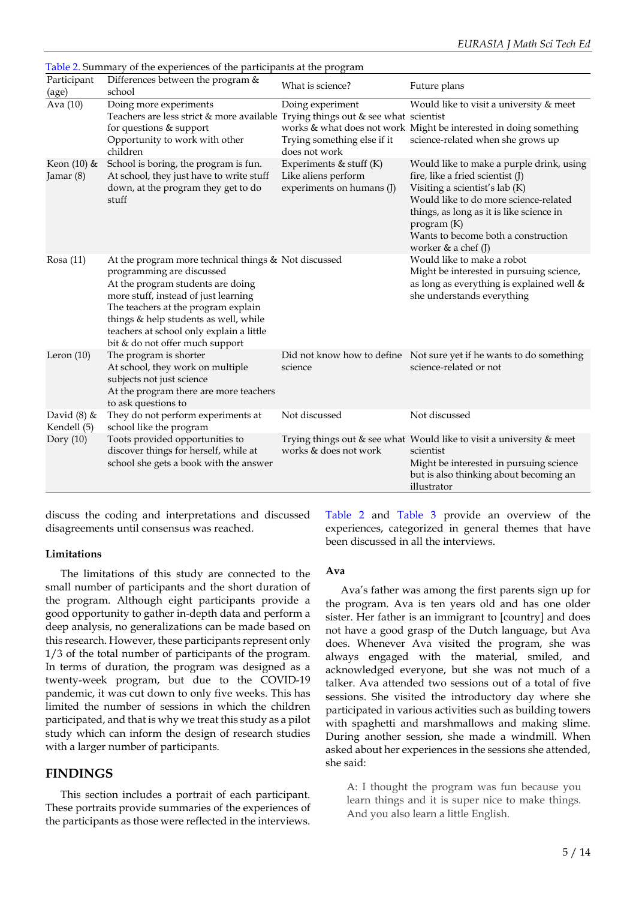|                              | Table 2. Summary of the experiences of the participants at the program                                                                                                                                                                                                                                                        |                                                                               |                                                                                                                                                                                                                                                                                      |
|------------------------------|-------------------------------------------------------------------------------------------------------------------------------------------------------------------------------------------------------------------------------------------------------------------------------------------------------------------------------|-------------------------------------------------------------------------------|--------------------------------------------------------------------------------------------------------------------------------------------------------------------------------------------------------------------------------------------------------------------------------------|
| Participant<br>(age)         | Differences between the program &<br>school                                                                                                                                                                                                                                                                                   | What is science?                                                              | Future plans                                                                                                                                                                                                                                                                         |
| Ava (10)                     | Doing more experiments<br>Teachers are less strict & more available Trying things out & see what scientist<br>for questions & support<br>Opportunity to work with other<br>children                                                                                                                                           | Doing experiment<br>Trying something else if it<br>does not work              | Would like to visit a university & meet<br>works & what does not work Might be interested in doing something<br>science-related when she grows up                                                                                                                                    |
| Keon $(10)$ &<br>Jamar (8)   | School is boring, the program is fun.<br>At school, they just have to write stuff<br>down, at the program they get to do<br>stuff                                                                                                                                                                                             | Experiments & stuff $(K)$<br>Like aliens perform<br>experiments on humans (J) | Would like to make a purple drink, using<br>fire, like a fried scientist (J)<br>Visiting a scientist's lab (K)<br>Would like to do more science-related<br>things, as long as it is like science in<br>program (K)<br>Wants to become both a construction<br>worker $&$ a chef $(J)$ |
| Rosa(11)                     | At the program more technical things & Not discussed<br>programming are discussed<br>At the program students are doing<br>more stuff, instead of just learning<br>The teachers at the program explain<br>things & help students as well, while<br>teachers at school only explain a little<br>bit & do not offer much support |                                                                               | Would like to make a robot<br>Might be interested in pursuing science,<br>as long as everything is explained well &<br>she understands everything                                                                                                                                    |
| Leron $(10)$                 | The program is shorter<br>At school, they work on multiple<br>subjects not just science<br>At the program there are more teachers<br>to ask questions to                                                                                                                                                                      | science                                                                       | Did not know how to define Not sure yet if he wants to do something<br>science-related or not                                                                                                                                                                                        |
| David $(8)$ &<br>Kendell (5) | They do not perform experiments at<br>school like the program                                                                                                                                                                                                                                                                 | Not discussed                                                                 | Not discussed                                                                                                                                                                                                                                                                        |
| Dory $(10)$                  | Toots provided opportunities to<br>discover things for herself, while at<br>school she gets a book with the answer                                                                                                                                                                                                            | works & does not work                                                         | Trying things out & see what Would like to visit a university & meet<br>scientist<br>Might be interested in pursuing science<br>but is also thinking about becoming an<br>illustrator                                                                                                |

Table 2. Summary of the experiences of the participants at the program

discuss the coding and interpretations and discussed disagreements until consensus was reached.

#### **Limitations**

The limitations of this study are connected to the small number of participants and the short duration of the program. Although eight participants provide a good opportunity to gather in-depth data and perform a deep analysis, no generalizations can be made based on this research. However, these participants represent only 1/3 of the total number of participants of the program. In terms of duration, the program was designed as a twenty-week program, but due to the COVID-19 pandemic, it was cut down to only five weeks. This has limited the number of sessions in which the children participated, and that is why we treat this study as a pilot study which can inform the design of research studies with a larger number of participants.

#### **FINDINGS**

This section includes a portrait of each participant. These portraits provide summaries of the experiences of the participants as those were reflected in the interviews. Table 2 and Table 3 provide an overview of the experiences, categorized in general themes that have been discussed in all the interviews.

#### **Ava**

Ava's father was among the first parents sign up for the program. Ava is ten years old and has one older sister. Her father is an immigrant to [country] and does not have a good grasp of the Dutch language, but Ava does. Whenever Ava visited the program, she was always engaged with the material, smiled, and acknowledged everyone, but she was not much of a talker. Ava attended two sessions out of a total of five sessions. She visited the introductory day where she participated in various activities such as building towers with spaghetti and marshmallows and making slime. During another session, she made a windmill. When asked about her experiences in the sessions she attended, she said:

A: I thought the program was fun because you learn things and it is super nice to make things. And you also learn a little English.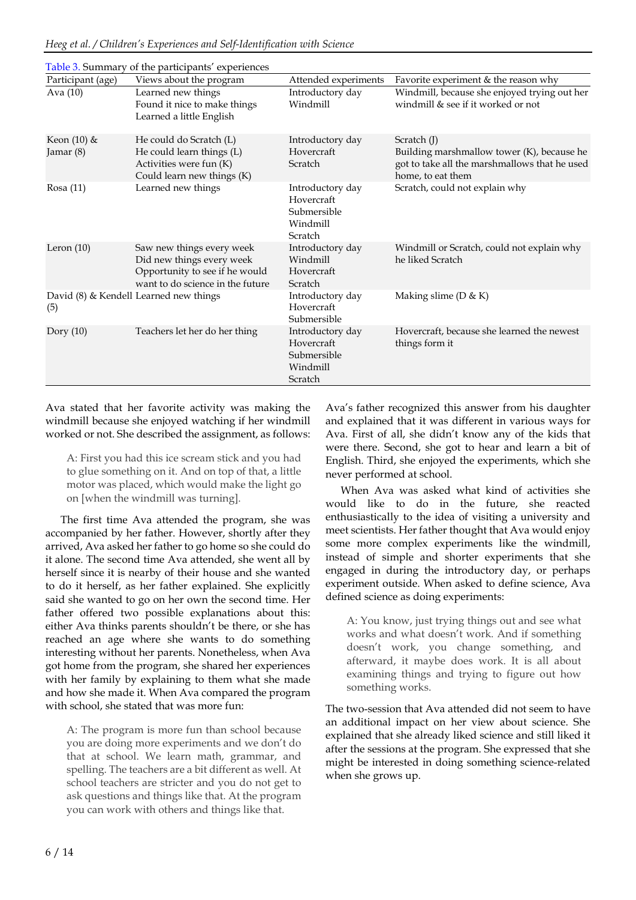|                                                                                            | Table 3. Summary of the participants' experiences                                                                            |                                                                      |                                                                                                                                   |
|--------------------------------------------------------------------------------------------|------------------------------------------------------------------------------------------------------------------------------|----------------------------------------------------------------------|-----------------------------------------------------------------------------------------------------------------------------------|
| Participant (age)                                                                          | Views about the program                                                                                                      | Attended experiments                                                 | Favorite experiment & the reason why                                                                                              |
| Learned new things<br>Ava (10)<br>Found it nice to make things<br>Learned a little English |                                                                                                                              | Introductory day<br>Windmill                                         | Windmill, because she enjoyed trying out her<br>windmill & see if it worked or not                                                |
| Keon (10) &<br>Jamar (8)                                                                   | He could do Scratch (L)<br>He could learn things (L)<br>Activities were fun (K)<br>Could learn new things (K)                | Introductory day<br>Hovercraft<br>Scratch                            | Scratch $(J)$<br>Building marshmallow tower (K), because he<br>got to take all the marshmallows that he used<br>home, to eat them |
| Rosa $(11)$                                                                                | Learned new things                                                                                                           | Introductory day<br>Hovercraft<br>Submersible<br>Windmill<br>Scratch | Scratch, could not explain why                                                                                                    |
| Leron $(10)$                                                                               | Saw new things every week<br>Did new things every week<br>Opportunity to see if he would<br>want to do science in the future | Introductory day<br>Windmill<br>Hovercraft<br>Scratch                | Windmill or Scratch, could not explain why<br>he liked Scratch                                                                    |
| (5)                                                                                        | David (8) & Kendell Learned new things                                                                                       | Introductory day<br>Hovercraft<br>Submersible                        | Making slime ( $D & K$ )                                                                                                          |
| Dory $(10)$                                                                                | Teachers let her do her thing                                                                                                | Introductory day<br>Hovercraft<br>Submersible<br>Windmill<br>Scratch | Hovercraft, because she learned the newest<br>things form it                                                                      |

Ava stated that her favorite activity was making the windmill because she enjoyed watching if her windmill worked or not. She described the assignment, as follows:

A: First you had this ice scream stick and you had to glue something on it. And on top of that, a little motor was placed, which would make the light go on [when the windmill was turning].

The first time Ava attended the program, she was accompanied by her father. However, shortly after they arrived, Ava asked her father to go home so she could do it alone. The second time Ava attended, she went all by herself since it is nearby of their house and she wanted to do it herself, as her father explained. She explicitly said she wanted to go on her own the second time. Her father offered two possible explanations about this: either Ava thinks parents shouldn't be there, or she has reached an age where she wants to do something interesting without her parents. Nonetheless, when Ava got home from the program, she shared her experiences with her family by explaining to them what she made and how she made it. When Ava compared the program with school, she stated that was more fun:

A: The program is more fun than school because you are doing more experiments and we don't do that at school. We learn math, grammar, and spelling. The teachers are a bit different as well. At school teachers are stricter and you do not get to ask questions and things like that. At the program you can work with others and things like that.

Ava's father recognized this answer from his daughter and explained that it was different in various ways for Ava. First of all, she didn't know any of the kids that were there. Second, she got to hear and learn a bit of English. Third, she enjoyed the experiments, which she never performed at school.

When Ava was asked what kind of activities she would like to do in the future, she reacted enthusiastically to the idea of visiting a university and meet scientists. Her father thought that Ava would enjoy some more complex experiments like the windmill, instead of simple and shorter experiments that she engaged in during the introductory day, or perhaps experiment outside. When asked to define science, Ava defined science as doing experiments:

A: You know, just trying things out and see what works and what doesn't work. And if something doesn't work, you change something, and afterward, it maybe does work. It is all about examining things and trying to figure out how something works.

The two-session that Ava attended did not seem to have an additional impact on her view about science. She explained that she already liked science and still liked it after the sessions at the program. She expressed that she might be interested in doing something science-related when she grows up.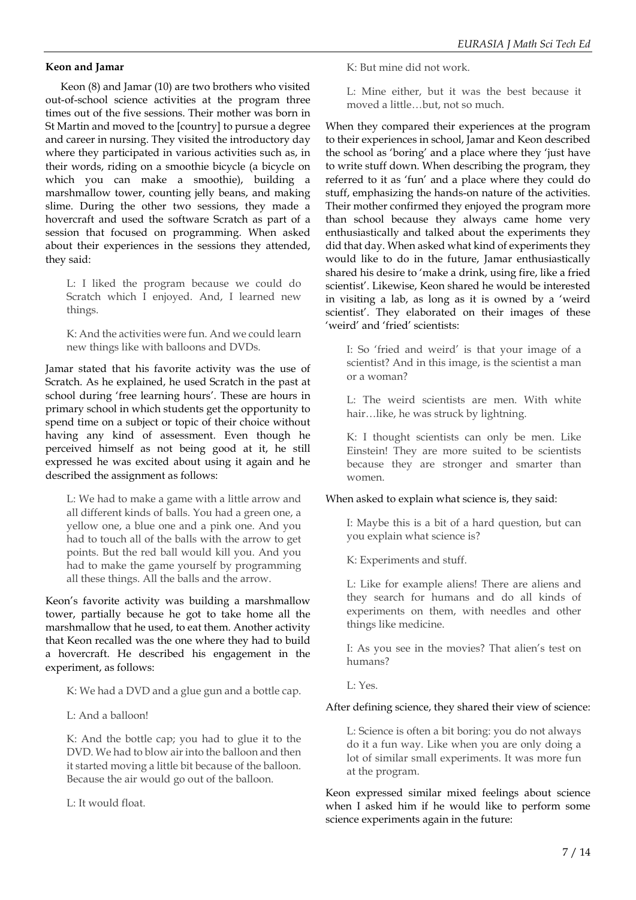#### **Keon and Jamar**

Keon (8) and Jamar (10) are two brothers who visited out-of-school science activities at the program three times out of the five sessions. Their mother was born in St Martin and moved to the [country] to pursue a degree and career in nursing. They visited the introductory day where they participated in various activities such as, in their words, riding on a smoothie bicycle (a bicycle on which you can make a smoothie), building a marshmallow tower, counting jelly beans, and making slime. During the other two sessions, they made a hovercraft and used the software Scratch as part of a session that focused on programming. When asked about their experiences in the sessions they attended, they said:

L: I liked the program because we could do Scratch which I enjoyed. And, I learned new things.

K: And the activities were fun. And we could learn new things like with balloons and DVDs.

Jamar stated that his favorite activity was the use of Scratch. As he explained, he used Scratch in the past at school during 'free learning hours'. These are hours in primary school in which students get the opportunity to spend time on a subject or topic of their choice without having any kind of assessment. Even though he perceived himself as not being good at it, he still expressed he was excited about using it again and he described the assignment as follows:

L: We had to make a game with a little arrow and all different kinds of balls. You had a green one, a yellow one, a blue one and a pink one. And you had to touch all of the balls with the arrow to get points. But the red ball would kill you. And you had to make the game yourself by programming all these things. All the balls and the arrow.

Keon's favorite activity was building a marshmallow tower, partially because he got to take home all the marshmallow that he used, to eat them. Another activity that Keon recalled was the one where they had to build a hovercraft. He described his engagement in the experiment, as follows:

K: We had a DVD and a glue gun and a bottle cap.

L: And a balloon!

K: And the bottle cap; you had to glue it to the DVD. We had to blow air into the balloon and then it started moving a little bit because of the balloon. Because the air would go out of the balloon.

L: It would float.

K: But mine did not work.

L: Mine either, but it was the best because it moved a little…but, not so much.

When they compared their experiences at the program to their experiences in school, Jamar and Keon described the school as 'boring' and a place where they 'just have to write stuff down. When describing the program, they referred to it as 'fun' and a place where they could do stuff, emphasizing the hands-on nature of the activities. Their mother confirmed they enjoyed the program more than school because they always came home very enthusiastically and talked about the experiments they did that day. When asked what kind of experiments they would like to do in the future, Jamar enthusiastically shared his desire to 'make a drink, using fire, like a fried scientist'. Likewise, Keon shared he would be interested in visiting a lab, as long as it is owned by a 'weird scientist'. They elaborated on their images of these 'weird' and 'fried' scientists:

I: So 'fried and weird' is that your image of a scientist? And in this image, is the scientist a man or a woman?

L: The weird scientists are men. With white hair…like, he was struck by lightning.

K: I thought scientists can only be men. Like Einstein! They are more suited to be scientists because they are stronger and smarter than women.

#### When asked to explain what science is, they said:

I: Maybe this is a bit of a hard question, but can you explain what science is?

K: Experiments and stuff.

L: Like for example aliens! There are aliens and they search for humans and do all kinds of experiments on them, with needles and other things like medicine.

I: As you see in the movies? That alien's test on humans?

L: Yes.

After defining science, they shared their view of science:

L: Science is often a bit boring: you do not always do it a fun way. Like when you are only doing a lot of similar small experiments. It was more fun at the program.

Keon expressed similar mixed feelings about science when I asked him if he would like to perform some science experiments again in the future: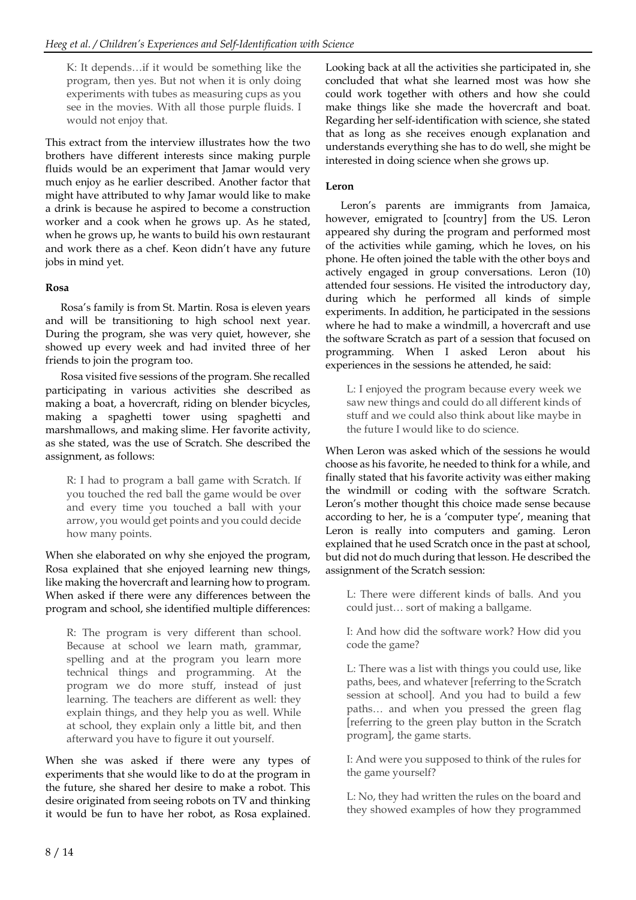K: It depends…if it would be something like the program, then yes. But not when it is only doing experiments with tubes as measuring cups as you see in the movies. With all those purple fluids. I would not enjoy that.

This extract from the interview illustrates how the two brothers have different interests since making purple fluids would be an experiment that Jamar would very much enjoy as he earlier described. Another factor that might have attributed to why Jamar would like to make a drink is because he aspired to become a construction worker and a cook when he grows up. As he stated, when he grows up, he wants to build his own restaurant and work there as a chef. Keon didn't have any future jobs in mind yet.

## **Rosa**

Rosa's family is from St. Martin. Rosa is eleven years and will be transitioning to high school next year. During the program, she was very quiet, however, she showed up every week and had invited three of her friends to join the program too.

Rosa visited five sessions of the program. She recalled participating in various activities she described as making a boat, a hovercraft, riding on blender bicycles, making a spaghetti tower using spaghetti and marshmallows, and making slime. Her favorite activity, as she stated, was the use of Scratch. She described the assignment, as follows:

R: I had to program a ball game with Scratch. If you touched the red ball the game would be over and every time you touched a ball with your arrow, you would get points and you could decide how many points.

When she elaborated on why she enjoyed the program, Rosa explained that she enjoyed learning new things, like making the hovercraft and learning how to program. When asked if there were any differences between the program and school, she identified multiple differences:

R: The program is very different than school. Because at school we learn math, grammar, spelling and at the program you learn more technical things and programming. At the program we do more stuff, instead of just learning. The teachers are different as well: they explain things, and they help you as well. While at school, they explain only a little bit, and then afterward you have to figure it out yourself.

When she was asked if there were any types of experiments that she would like to do at the program in the future, she shared her desire to make a robot. This desire originated from seeing robots on TV and thinking it would be fun to have her robot, as Rosa explained. Looking back at all the activities she participated in, she concluded that what she learned most was how she could work together with others and how she could make things like she made the hovercraft and boat. Regarding her self-identification with science, she stated that as long as she receives enough explanation and understands everything she has to do well, she might be interested in doing science when she grows up.

## **Leron**

Leron's parents are immigrants from Jamaica, however, emigrated to [country] from the US. Leron appeared shy during the program and performed most of the activities while gaming, which he loves, on his phone. He often joined the table with the other boys and actively engaged in group conversations. Leron (10) attended four sessions. He visited the introductory day, during which he performed all kinds of simple experiments. In addition, he participated in the sessions where he had to make a windmill, a hovercraft and use the software Scratch as part of a session that focused on programming. When I asked Leron about his experiences in the sessions he attended, he said:

L: I enjoyed the program because every week we saw new things and could do all different kinds of stuff and we could also think about like maybe in the future I would like to do science.

When Leron was asked which of the sessions he would choose as his favorite, he needed to think for a while, and finally stated that his favorite activity was either making the windmill or coding with the software Scratch. Leron's mother thought this choice made sense because according to her, he is a 'computer type', meaning that Leron is really into computers and gaming. Leron explained that he used Scratch once in the past at school, but did not do much during that lesson. He described the assignment of the Scratch session:

L: There were different kinds of balls. And you could just… sort of making a ballgame.

I: And how did the software work? How did you code the game?

L: There was a list with things you could use, like paths, bees, and whatever [referring to the Scratch session at school]. And you had to build a few paths… and when you pressed the green flag [referring to the green play button in the Scratch program], the game starts.

I: And were you supposed to think of the rules for the game yourself?

L: No, they had written the rules on the board and they showed examples of how they programmed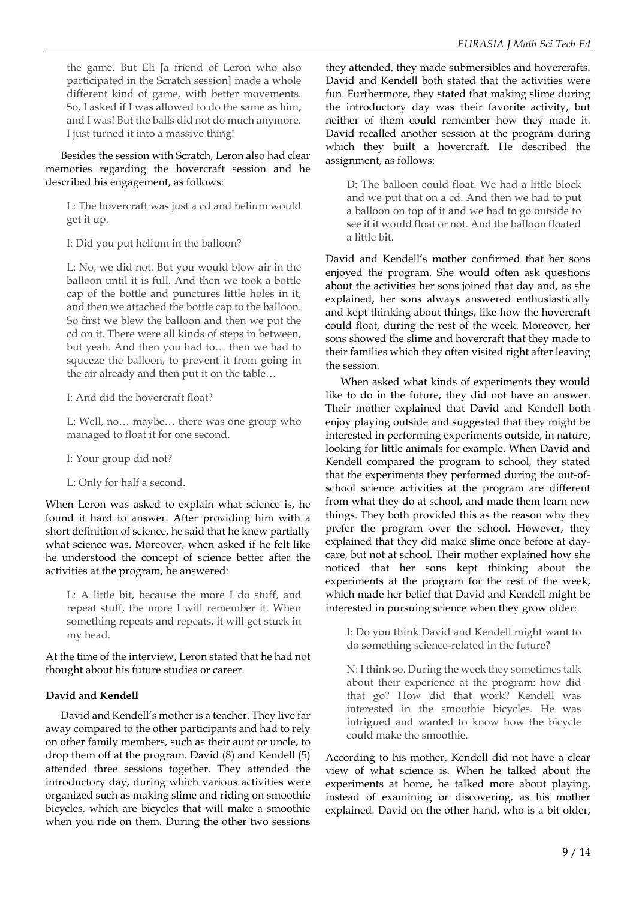the game. But Eli [a friend of Leron who also participated in the Scratch session] made a whole different kind of game, with better movements. So, I asked if I was allowed to do the same as him, and I was! But the balls did not do much anymore. I just turned it into a massive thing!

Besides the session with Scratch, Leron also had clear memories regarding the hovercraft session and he described his engagement, as follows:

L: The hovercraft was just a cd and helium would get it up.

I: Did you put helium in the balloon?

L: No, we did not. But you would blow air in the balloon until it is full. And then we took a bottle cap of the bottle and punctures little holes in it, and then we attached the bottle cap to the balloon. So first we blew the balloon and then we put the cd on it. There were all kinds of steps in between, but yeah. And then you had to… then we had to squeeze the balloon, to prevent it from going in the air already and then put it on the table…

I: And did the hovercraft float?

L: Well, no… maybe… there was one group who managed to float it for one second.

I: Your group did not?

L: Only for half a second.

When Leron was asked to explain what science is, he found it hard to answer. After providing him with a short definition of science, he said that he knew partially what science was. Moreover, when asked if he felt like he understood the concept of science better after the activities at the program, he answered:

L: A little bit, because the more I do stuff, and repeat stuff, the more I will remember it. When something repeats and repeats, it will get stuck in my head.

At the time of the interview, Leron stated that he had not thought about his future studies or career.

## **David and Kendell**

David and Kendell's mother is a teacher. They live far away compared to the other participants and had to rely on other family members, such as their aunt or uncle, to drop them off at the program. David (8) and Kendell (5) attended three sessions together. They attended the introductory day, during which various activities were organized such as making slime and riding on smoothie bicycles, which are bicycles that will make a smoothie when you ride on them. During the other two sessions

they attended, they made submersibles and hovercrafts. David and Kendell both stated that the activities were fun. Furthermore, they stated that making slime during the introductory day was their favorite activity, but neither of them could remember how they made it. David recalled another session at the program during which they built a hovercraft. He described the assignment, as follows:

D: The balloon could float. We had a little block and we put that on a cd. And then we had to put a balloon on top of it and we had to go outside to see if it would float or not. And the balloon floated a little bit.

David and Kendell's mother confirmed that her sons enjoyed the program. She would often ask questions about the activities her sons joined that day and, as she explained, her sons always answered enthusiastically and kept thinking about things, like how the hovercraft could float, during the rest of the week. Moreover, her sons showed the slime and hovercraft that they made to their families which they often visited right after leaving the session.

When asked what kinds of experiments they would like to do in the future, they did not have an answer. Their mother explained that David and Kendell both enjoy playing outside and suggested that they might be interested in performing experiments outside, in nature, looking for little animals for example. When David and Kendell compared the program to school, they stated that the experiments they performed during the out-ofschool science activities at the program are different from what they do at school, and made them learn new things. They both provided this as the reason why they prefer the program over the school. However, they explained that they did make slime once before at daycare, but not at school. Their mother explained how she noticed that her sons kept thinking about the experiments at the program for the rest of the week, which made her belief that David and Kendell might be interested in pursuing science when they grow older:

I: Do you think David and Kendell might want to do something science-related in the future?

N: I think so. During the week they sometimes talk about their experience at the program: how did that go? How did that work? Kendell was interested in the smoothie bicycles. He was intrigued and wanted to know how the bicycle could make the smoothie.

According to his mother, Kendell did not have a clear view of what science is. When he talked about the experiments at home, he talked more about playing, instead of examining or discovering, as his mother explained. David on the other hand, who is a bit older,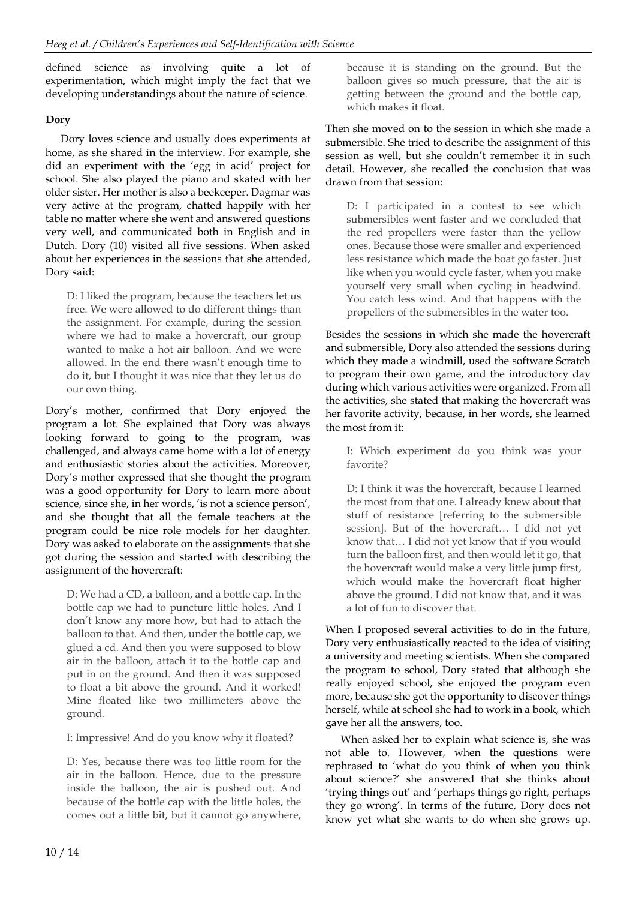defined science as involving quite a lot of experimentation, which might imply the fact that we developing understandings about the nature of science.

## **Dory**

Dory loves science and usually does experiments at home, as she shared in the interview. For example, she did an experiment with the 'egg in acid' project for school. She also played the piano and skated with her older sister. Her mother is also a beekeeper. Dagmar was very active at the program, chatted happily with her table no matter where she went and answered questions very well, and communicated both in English and in Dutch. Dory (10) visited all five sessions. When asked about her experiences in the sessions that she attended, Dory said:

D: I liked the program, because the teachers let us free. We were allowed to do different things than the assignment. For example, during the session where we had to make a hovercraft, our group wanted to make a hot air balloon. And we were allowed. In the end there wasn't enough time to do it, but I thought it was nice that they let us do our own thing.

Dory's mother, confirmed that Dory enjoyed the program a lot. She explained that Dory was always looking forward to going to the program, was challenged, and always came home with a lot of energy and enthusiastic stories about the activities. Moreover, Dory's mother expressed that she thought the program was a good opportunity for Dory to learn more about science, since she, in her words, 'is not a science person', and she thought that all the female teachers at the program could be nice role models for her daughter. Dory was asked to elaborate on the assignments that she got during the session and started with describing the assignment of the hovercraft:

D: We had a CD, a balloon, and a bottle cap. In the bottle cap we had to puncture little holes. And I don't know any more how, but had to attach the balloon to that. And then, under the bottle cap, we glued a cd. And then you were supposed to blow air in the balloon, attach it to the bottle cap and put in on the ground. And then it was supposed to float a bit above the ground. And it worked! Mine floated like two millimeters above the ground.

I: Impressive! And do you know why it floated?

D: Yes, because there was too little room for the air in the balloon. Hence, due to the pressure inside the balloon, the air is pushed out. And because of the bottle cap with the little holes, the comes out a little bit, but it cannot go anywhere, because it is standing on the ground. But the balloon gives so much pressure, that the air is getting between the ground and the bottle cap, which makes it float.

Then she moved on to the session in which she made a submersible. She tried to describe the assignment of this session as well, but she couldn't remember it in such detail. However, she recalled the conclusion that was drawn from that session:

D: I participated in a contest to see which submersibles went faster and we concluded that the red propellers were faster than the yellow ones. Because those were smaller and experienced less resistance which made the boat go faster. Just like when you would cycle faster, when you make yourself very small when cycling in headwind. You catch less wind. And that happens with the propellers of the submersibles in the water too.

Besides the sessions in which she made the hovercraft and submersible, Dory also attended the sessions during which they made a windmill, used the software Scratch to program their own game, and the introductory day during which various activities were organized. From all the activities, she stated that making the hovercraft was her favorite activity, because, in her words, she learned the most from it:

I: Which experiment do you think was your favorite?

D: I think it was the hovercraft, because I learned the most from that one. I already knew about that stuff of resistance [referring to the submersible session]. But of the hovercraft… I did not yet know that… I did not yet know that if you would turn the balloon first, and then would let it go, that the hovercraft would make a very little jump first, which would make the hovercraft float higher above the ground. I did not know that, and it was a lot of fun to discover that.

When I proposed several activities to do in the future, Dory very enthusiastically reacted to the idea of visiting a university and meeting scientists. When she compared the program to school, Dory stated that although she really enjoyed school, she enjoyed the program even more, because she got the opportunity to discover things herself, while at school she had to work in a book, which gave her all the answers, too.

When asked her to explain what science is, she was not able to. However, when the questions were rephrased to 'what do you think of when you think about science?' she answered that she thinks about 'trying things out' and 'perhaps things go right, perhaps they go wrong'. In terms of the future, Dory does not know yet what she wants to do when she grows up.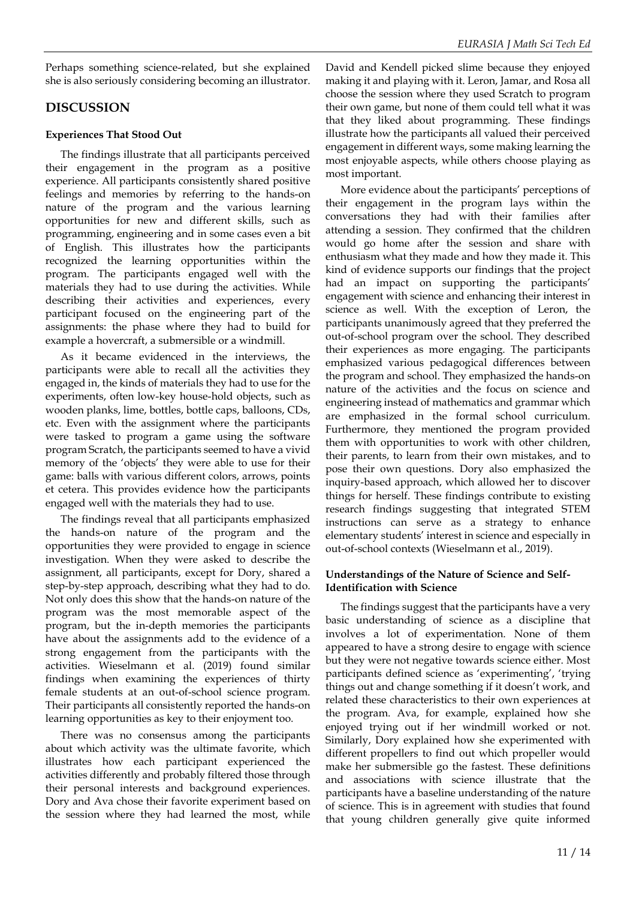Perhaps something science-related, but she explained she is also seriously considering becoming an illustrator.

## **DISCUSSION**

#### **Experiences That Stood Out**

The findings illustrate that all participants perceived their engagement in the program as a positive experience. All participants consistently shared positive feelings and memories by referring to the hands-on nature of the program and the various learning opportunities for new and different skills, such as programming, engineering and in some cases even a bit of English. This illustrates how the participants recognized the learning opportunities within the program. The participants engaged well with the materials they had to use during the activities. While describing their activities and experiences, every participant focused on the engineering part of the assignments: the phase where they had to build for example a hovercraft, a submersible or a windmill.

As it became evidenced in the interviews, the participants were able to recall all the activities they engaged in, the kinds of materials they had to use for the experiments, often low-key house-hold objects, such as wooden planks, lime, bottles, bottle caps, balloons, CDs, etc. Even with the assignment where the participants were tasked to program a game using the software program Scratch, the participants seemed to have a vivid memory of the 'objects' they were able to use for their game: balls with various different colors, arrows, points et cetera. This provides evidence how the participants engaged well with the materials they had to use.

The findings reveal that all participants emphasized the hands-on nature of the program and the opportunities they were provided to engage in science investigation. When they were asked to describe the assignment, all participants, except for Dory, shared a step-by-step approach, describing what they had to do. Not only does this show that the hands-on nature of the program was the most memorable aspect of the program, but the in-depth memories the participants have about the assignments add to the evidence of a strong engagement from the participants with the activities. Wieselmann et al. (2019) found similar findings when examining the experiences of thirty female students at an out-of-school science program. Their participants all consistently reported the hands-on learning opportunities as key to their enjoyment too.

There was no consensus among the participants about which activity was the ultimate favorite, which illustrates how each participant experienced the activities differently and probably filtered those through their personal interests and background experiences. Dory and Ava chose their favorite experiment based on the session where they had learned the most, while

David and Kendell picked slime because they enjoyed making it and playing with it. Leron, Jamar, and Rosa all choose the session where they used Scratch to program their own game, but none of them could tell what it was that they liked about programming. These findings illustrate how the participants all valued their perceived engagement in different ways, some making learning the most enjoyable aspects, while others choose playing as most important.

More evidence about the participants' perceptions of their engagement in the program lays within the conversations they had with their families after attending a session. They confirmed that the children would go home after the session and share with enthusiasm what they made and how they made it. This kind of evidence supports our findings that the project had an impact on supporting the participants' engagement with science and enhancing their interest in science as well. With the exception of Leron, the participants unanimously agreed that they preferred the out-of-school program over the school. They described their experiences as more engaging. The participants emphasized various pedagogical differences between the program and school. They emphasized the hands-on nature of the activities and the focus on science and engineering instead of mathematics and grammar which are emphasized in the formal school curriculum. Furthermore, they mentioned the program provided them with opportunities to work with other children, their parents, to learn from their own mistakes, and to pose their own questions. Dory also emphasized the inquiry-based approach, which allowed her to discover things for herself. These findings contribute to existing research findings suggesting that integrated STEM instructions can serve as a strategy to enhance elementary students' interest in science and especially in out-of-school contexts (Wieselmann et al., 2019).

#### **Understandings of the Nature of Science and Self-Identification with Science**

The findings suggest that the participants have a very basic understanding of science as a discipline that involves a lot of experimentation. None of them appeared to have a strong desire to engage with science but they were not negative towards science either. Most participants defined science as 'experimenting', 'trying things out and change something if it doesn't work, and related these characteristics to their own experiences at the program. Ava, for example, explained how she enjoyed trying out if her windmill worked or not. Similarly, Dory explained how she experimented with different propellers to find out which propeller would make her submersible go the fastest. These definitions and associations with science illustrate that the participants have a baseline understanding of the nature of science. This is in agreement with studies that found that young children generally give quite informed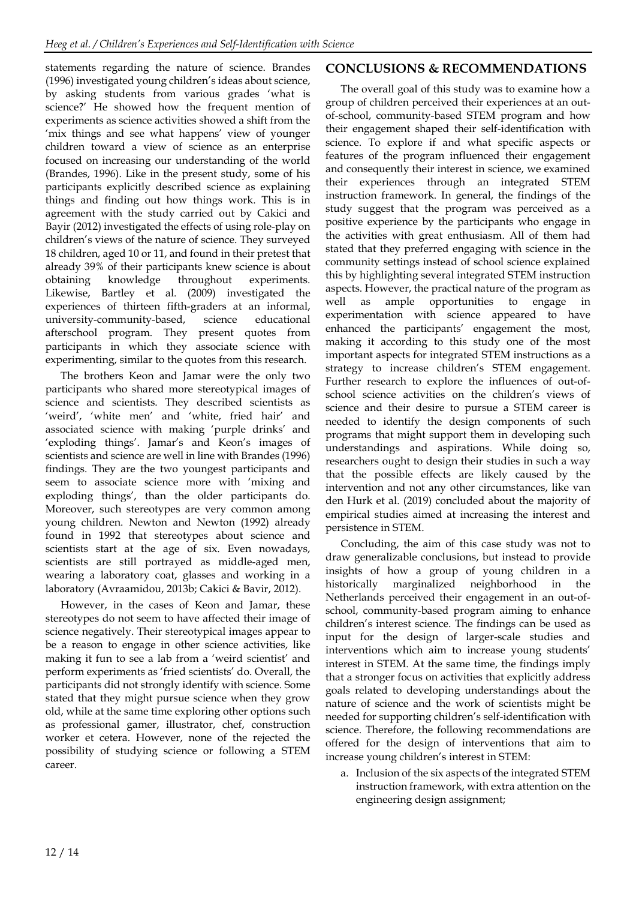statements regarding the nature of science. Brandes (1996) investigated young children's ideas about science, by asking students from various grades 'what is science?' He showed how the frequent mention of experiments as science activities showed a shift from the 'mix things and see what happens' view of younger children toward a view of science as an enterprise focused on increasing our understanding of the world (Brandes, 1996). Like in the present study, some of his participants explicitly described science as explaining things and finding out how things work. This is in agreement with the study carried out by Cakici and Bayir (2012) investigated the effects of using role-play on children's views of the nature of science. They surveyed 18 children, aged 10 or 11, and found in their pretest that already 39% of their participants knew science is about obtaining knowledge throughout experiments. Likewise, Bartley et al. (2009) investigated the experiences of thirteen fifth-graders at an informal, university-community-based, science educational afterschool program. They present quotes from participants in which they associate science with experimenting, similar to the quotes from this research.

The brothers Keon and Jamar were the only two participants who shared more stereotypical images of science and scientists. They described scientists as 'weird', 'white men' and 'white, fried hair' and associated science with making 'purple drinks' and 'exploding things'. Jamar's and Keon's images of scientists and science are well in line with Brandes (1996) findings. They are the two youngest participants and seem to associate science more with 'mixing and exploding things', than the older participants do. Moreover, such stereotypes are very common among young children. Newton and Newton (1992) already found in 1992 that stereotypes about science and scientists start at the age of six. Even nowadays, scientists are still portrayed as middle-aged men, wearing a laboratory coat, glasses and working in a laboratory (Avraamidou, 2013b; Cakici & Bavir, 2012).

However, in the cases of Keon and Jamar, these stereotypes do not seem to have affected their image of science negatively. Their stereotypical images appear to be a reason to engage in other science activities, like making it fun to see a lab from a 'weird scientist' and perform experiments as 'fried scientists' do. Overall, the participants did not strongly identify with science. Some stated that they might pursue science when they grow old, while at the same time exploring other options such as professional gamer, illustrator, chef, construction worker et cetera. However, none of the rejected the possibility of studying science or following a STEM career.

## **CONCLUSIONS & RECOMMENDATIONS**

The overall goal of this study was to examine how a group of children perceived their experiences at an outof-school, community-based STEM program and how their engagement shaped their self-identification with science. To explore if and what specific aspects or features of the program influenced their engagement and consequently their interest in science, we examined their experiences through an integrated STEM instruction framework. In general, the findings of the study suggest that the program was perceived as a positive experience by the participants who engage in the activities with great enthusiasm. All of them had stated that they preferred engaging with science in the community settings instead of school science explained this by highlighting several integrated STEM instruction aspects. However, the practical nature of the program as well as ample opportunities to engage in experimentation with science appeared to have enhanced the participants' engagement the most, making it according to this study one of the most important aspects for integrated STEM instructions as a strategy to increase children's STEM engagement. Further research to explore the influences of out-ofschool science activities on the children's views of science and their desire to pursue a STEM career is needed to identify the design components of such programs that might support them in developing such understandings and aspirations. While doing so, researchers ought to design their studies in such a way that the possible effects are likely caused by the intervention and not any other circumstances, like van den Hurk et al. (2019) concluded about the majority of empirical studies aimed at increasing the interest and persistence in STEM.

Concluding, the aim of this case study was not to draw generalizable conclusions, but instead to provide insights of how a group of young children in a historically marginalized neighborhood in the Netherlands perceived their engagement in an out-ofschool, community-based program aiming to enhance children's interest science. The findings can be used as input for the design of larger-scale studies and interventions which aim to increase young students' interest in STEM. At the same time, the findings imply that a stronger focus on activities that explicitly address goals related to developing understandings about the nature of science and the work of scientists might be needed for supporting children's self-identification with science. Therefore, the following recommendations are offered for the design of interventions that aim to increase young children's interest in STEM:

a. Inclusion of the six aspects of the integrated STEM instruction framework, with extra attention on the engineering design assignment;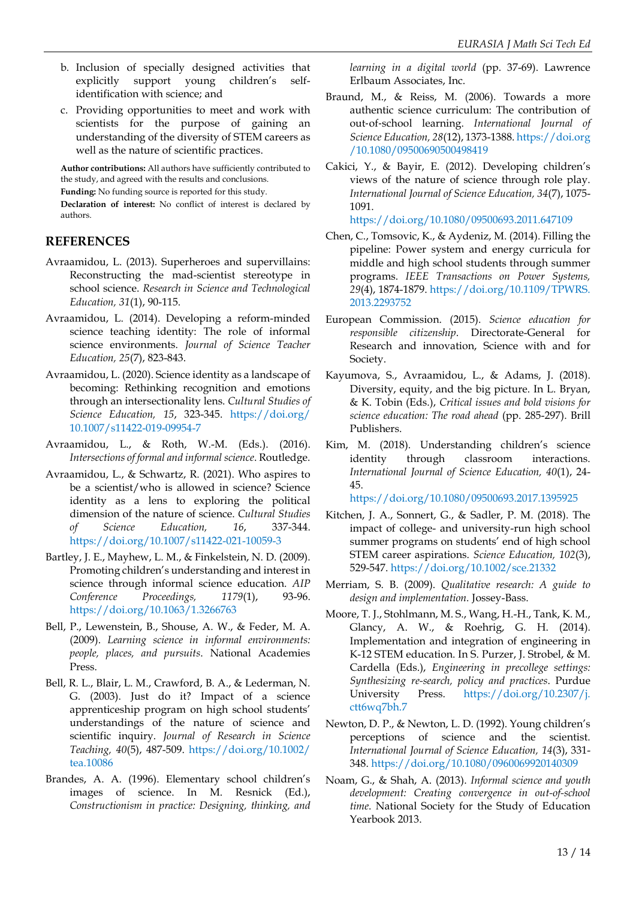- b. Inclusion of specially designed activities that explicitly support young children's selfidentification with science; and
- c. Providing opportunities to meet and work with scientists for the purpose of gaining an understanding of the diversity of STEM careers as well as the nature of scientific practices.

**Author contributions:** All authors have sufficiently contributed to the study, and agreed with the results and conclusions.

**Funding:** No funding source is reported for this study.

**Declaration of interest:** No conflict of interest is declared by authors.

## **REFERENCES**

- Avraamidou, L. (2013). Superheroes and supervillains: Reconstructing the mad-scientist stereotype in school science. *Research in Science and Technological Education, 31*(1), 90-115.
- Avraamidou, L. (2014). Developing a reform-minded science teaching identity: The role of informal science environments. *Journal of Science Teacher Education, 25*(7), 823-843.
- Avraamidou, L. (2020). Science identity as a landscape of becoming: Rethinking recognition and emotions through an intersectionality lens. *Cultural Studies of Science Education, 15*, 323-345. [https://doi.org/](https://doi.org/10.1007/s11422-019-09954-7) [10.1007/s11422-019-09954-7](https://doi.org/10.1007/s11422-019-09954-7)
- Avraamidou, L., & Roth, W.-M. (Eds.). (2016). *Intersections of formal and informal science*. Routledge.
- Avraamidou, L., & Schwartz, R. (2021). Who aspires to be a scientist/who is allowed in science? Science identity as a lens to exploring the political dimension of the nature of science. *Cultural Studies of Science Education, 16*, 337-344. <https://doi.org/10.1007/s11422-021-10059-3>
- Bartley, J. E., Mayhew, L. M., & Finkelstein, N. D. (2009). Promoting children's understanding and interest in science through informal science education. *AIP Conference Proceedings, 1179*(1), 93-96. <https://doi.org/10.1063/1.3266763>
- Bell, P., Lewenstein, B., Shouse, A. W., & Feder, M. A. (2009). *Learning science in informal environments: people, places, and pursuits*. National Academies Press.
- Bell, R. L., Blair, L. M., Crawford, B. A., & Lederman, N. G. (2003). Just do it? Impact of a science apprenticeship program on high school students' understandings of the nature of science and scientific inquiry. *Journal of Research in Science Teaching, 40*(5), 487-509. [https://doi.org/10.1002/](https://doi.org/10.1002/tea.10086) [tea.10086](https://doi.org/10.1002/tea.10086)
- Brandes, A. A. (1996). Elementary school children's images of science. In M. Resnick (Ed.), *Constructionism in practice: Designing, thinking, and*

*learning in a digital world* (pp. 37-69). Lawrence Erlbaum Associates, Inc.

- Braund, M., & Reiss, M. (2006). Towards a more authentic science curriculum: The contribution of out‐of‐school learning. *International Journal of Science Education, 28*(12), 1373-1388. [https://doi.org](https://doi.org/10.1080/09500690500498419) [/10.1080/09500690500498419](https://doi.org/10.1080/09500690500498419)
- Cakici, Y., & Bayir, E. (2012). Developing children's views of the nature of science through role play. *International Journal of Science Education, 34*(7), 1075- 1091.

<https://doi.org/10.1080/09500693.2011.647109>

- Chen, C., Tomsovic, K., & Aydeniz, M. (2014). Filling the pipeline: Power system and energy curricula for middle and high school students through summer programs. *IEEE Transactions on Power Systems, 29*(4), 1874-1879. [https://doi.org/10.1109/TPWRS.](https://doi.org/10.1109/TPWRS.2013.2293752) [2013.2293752](https://doi.org/10.1109/TPWRS.2013.2293752)
- European Commission. (2015). *Science education for responsible citizenship*. Directorate-General for Research and innovation, Science with and for Society.
- Kayumova, S., Avraamidou, L., & Adams, J. (2018). Diversity, equity, and the big picture. In L. Bryan, & K. Tobin (Eds.), *Critical issues and bold visions for science education: The road ahead* (pp. 285-297). Brill Publishers.
- Kim, M. (2018). Understanding children's science identity through classroom interactions. *International Journal of Science Education, 40*(1), 24- 45.

<https://doi.org/10.1080/09500693.2017.1395925>

- Kitchen, J. A., Sonnert, G., & Sadler, P. M. (2018). The impact of college- and university-run high school summer programs on students' end of high school STEM career aspirations. *Science Education, 102*(3), 529-547. <https://doi.org/10.1002/sce.21332>
- Merriam, S. B. (2009). *Qualitative research: A guide to design and implementation.* Jossey-Bass.
- Moore, T. J., Stohlmann, M. S., Wang, H.-H., Tank, K. M., Glancy, A. W., & Roehrig, G. H. (2014). Implementation and integration of engineering in K-12 STEM education. In S. Purzer, J. Strobel, & M. Cardella (Eds.), *Engineering in precollege settings: Synthesizing re-search, policy and practices*. Purdue University Press. [https://doi.org/10.2307/j.](https://doi.org/10.2307/j.ctt6wq7bh.7) [ctt6wq7bh.7](https://doi.org/10.2307/j.ctt6wq7bh.7)
- Newton, D. P., & Newton, L. D. (1992). Young children's perceptions of science and the scientist. *International Journal of Science Education, 14*(3), 331- 348. <https://doi.org/10.1080/0960069920140309>
- Noam, G., & Shah, A. (2013). *Informal science and youth development: Creating convergence in out-of-school time*. National Society for the Study of Education Yearbook 2013.